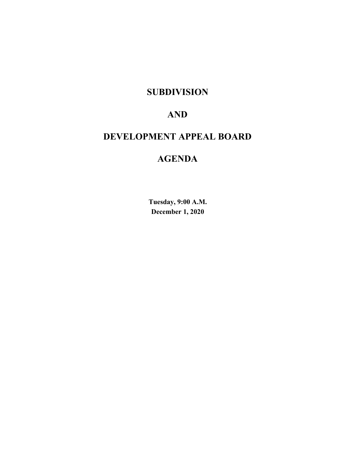# **SUBDIVISION**

# **AND**

# **DEVELOPMENT APPEAL BOARD**

# **AGENDA**

**Tuesday, 9:00 A.M. December 1, 2020**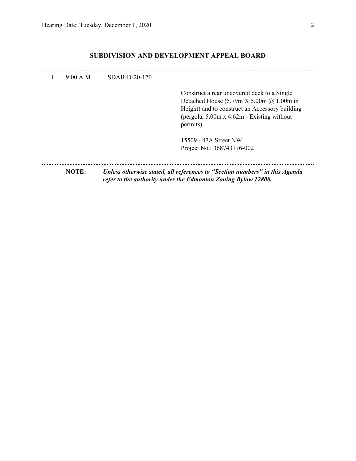### **SUBDIVISION AND DEVELOPMENT APPEAL BOARD**

| 9:00 A.M.    | $SDAB-D-20-170$ |                                                                                                                                                                                                                                                              |
|--------------|-----------------|--------------------------------------------------------------------------------------------------------------------------------------------------------------------------------------------------------------------------------------------------------------|
|              |                 | Construct a rear uncovered deck to a Single<br>Detached House $(5.79 \text{m X } 5.00 \text{m } \textcircled{a} 1.00 \text{m } \text{in}$<br>Height) and to construct an Accessory building<br>(pergola, $5.00m \times 4.62m$ - Existing without<br>permits) |
|              |                 | 15509 - 47A Street NW<br>Project No.: 368743176-002                                                                                                                                                                                                          |
| <b>NOTE:</b> |                 | Unless otherwise stated, all references to "Section numbers" in this Agenda<br>refer to the authority under the Edmonton Zoning Bylaw 12800.                                                                                                                 |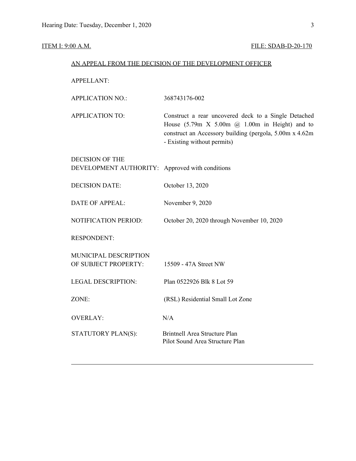## **ITEM I: 9:00 A.M. FILE: SDAB-D-20-170**

| AN APPEAL FROM THE DECISION OF THE DEVELOPMENT OFFICER |
|--------------------------------------------------------|
|--------------------------------------------------------|

APPELLANT:

| <b>APPLICATION NO.:</b> | 368743176-002                                                                                                                                                                                                              |
|-------------------------|----------------------------------------------------------------------------------------------------------------------------------------------------------------------------------------------------------------------------|
| APPLICATION TO:         | Construct a rear uncovered deck to a Single Detached<br>House $(5.79m \times 5.00m \text{ (}a) 1.00m \text{ in Height})$ and to<br>construct an Accessory building (pergola, 5.00m x 4.62m)<br>- Existing without permits) |
| DECISION OF THE         |                                                                                                                                                                                                                            |

| DEVELOPMENT AUTHORITY: Approved with conditions |  |
|-------------------------------------------------|--|
|                                                 |  |

| <b>DECISION DATE:</b> | October 13, 2020 |
|-----------------------|------------------|
|                       |                  |

DATE OF APPEAL: November 9, 2020

NOTIFICATION PERIOD: October 20, 2020 through November 10, 2020

RESPONDENT:

| MUNICIPAL DESCRIPTION |                                                                  |
|-----------------------|------------------------------------------------------------------|
| OF SUBJECT PROPERTY:  | 15509 - 47A Street NW                                            |
| LEGAL DESCRIPTION:    | Plan 0522926 Blk 8 Lot 59                                        |
|                       |                                                                  |
| ZONE:                 | (RSL) Residential Small Lot Zone                                 |
|                       |                                                                  |
| OVERLAY:              | N/A                                                              |
| STATUTORY PLAN(S):    | Brintnell Area Structure Plan<br>Pilot Sound Area Structure Plan |
|                       |                                                                  |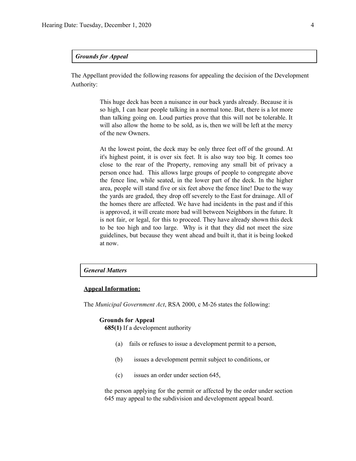#### *Grounds for Appeal*

The Appellant provided the following reasons for appealing the decision of the Development Authority:

> This huge deck has been a nuisance in our back yards already. Because it is so high, I can hear people talking in a normal tone. But, there is a lot more than talking going on. Loud parties prove that this will not be tolerable. It will also allow the home to be sold, as is, then we will be left at the mercy of the new Owners.

> At the lowest point, the deck may be only three feet off of the ground. At it's highest point, it is over six feet. It is also way too big. It comes too close to the rear of the Property, removing any small bit of privacy a person once had. This allows large groups of people to congregate above the fence line, while seated, in the lower part of the deck. In the higher area, people will stand five or six feet above the fence line! Due to the way the yards are graded, they drop off severely to the East for drainage. All of the homes there are affected. We have had incidents in the past and if this is approved, it will create more bad will between Neighbors in the future. It is not fair, or legal, for this to proceed. They have already shown this deck to be too high and too large. Why is it that they did not meet the size guidelines, but because they went ahead and built it, that it is being looked at now.

#### *General Matters*

#### **Appeal Information:**

The *Municipal Government Act*, RSA 2000, c M-26 states the following:

#### **Grounds for Appeal**

**685(1)** If a development authority

- (a) fails or refuses to issue a development permit to a person,
- (b) issues a development permit subject to conditions, or
- (c) issues an order under section 645,

the person applying for the permit or affected by the order under section 645 may appeal to the subdivision and development appeal board.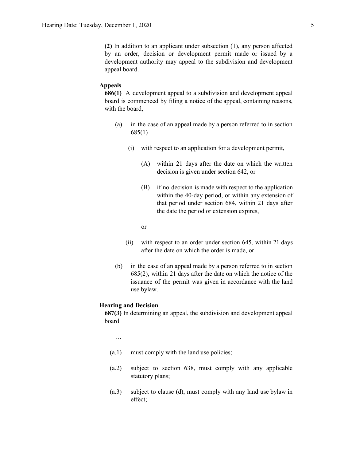**(2)** In addition to an applicant under subsection (1), any person affected by an order, decision or development permit made or issued by a development authority may appeal to the subdivision and development appeal board.

#### **Appeals**

**686(1)** A development appeal to a subdivision and development appeal board is commenced by filing a notice of the appeal, containing reasons, with the board,

- (a) in the case of an appeal made by a person referred to in section 685(1)
	- (i) with respect to an application for a development permit,
		- (A) within 21 days after the date on which the written decision is given under section 642, or
		- (B) if no decision is made with respect to the application within the 40-day period, or within any extension of that period under section 684, within 21 days after the date the period or extension expires,

or

- (ii) with respect to an order under section 645, within 21 days after the date on which the order is made, or
- (b) in the case of an appeal made by a person referred to in section 685(2), within 21 days after the date on which the notice of the issuance of the permit was given in accordance with the land use bylaw.

#### **Hearing and Decision**

**687(3)** In determining an appeal, the subdivision and development appeal board

…

- (a.1) must comply with the land use policies;
- (a.2) subject to section 638, must comply with any applicable statutory plans;
- (a.3) subject to clause (d), must comply with any land use bylaw in effect;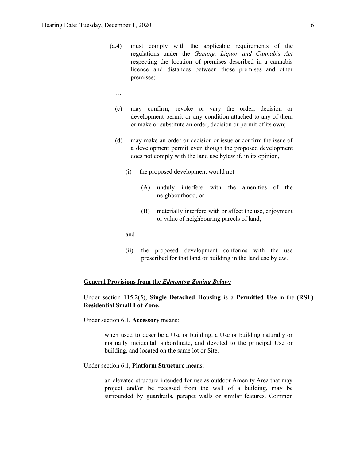- (a.4) must comply with the applicable requirements of the regulations under the *Gaming, Liquor and Cannabis Act* respecting the location of premises described in a cannabis licence and distances between those premises and other premises;
	- …
	- (c) may confirm, revoke or vary the order, decision or development permit or any condition attached to any of them or make or substitute an order, decision or permit of its own;
	- (d) may make an order or decision or issue or confirm the issue of a development permit even though the proposed development does not comply with the land use bylaw if, in its opinion,
		- (i) the proposed development would not
			- (A) unduly interfere with the amenities of the neighbourhood, or
			- (B) materially interfere with or affect the use, enjoyment or value of neighbouring parcels of land,

and

(ii) the proposed development conforms with the use prescribed for that land or building in the land use bylaw.

#### **General Provisions from the** *Edmonton Zoning Bylaw:*

### Under section 115.2(5), **Single Detached Housing** is a **Permitted Use** in the **(RSL) Residential Small Lot Zone.**

Under section 6.1, **Accessory** means:

when used to describe a Use or building, a Use or building naturally or normally incidental, subordinate, and devoted to the principal Use or building, and located on the same lot or Site.

Under section 6.1, **Platform Structure** means:

an elevated structure intended for use as outdoor Amenity Area that may project and/or be recessed from the wall of a building, may be surrounded by guardrails, parapet walls or similar features. Common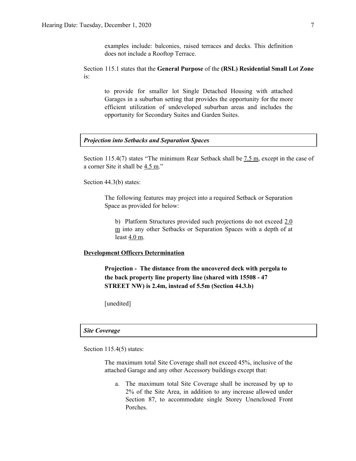examples include: balconies, raised terraces and decks. This definition does not include a Rooftop Terrace.

Section 115.1 states that the **General Purpose** of the **(RSL) Residential Small Lot Zone** is:

to provide for smaller lot Single Detached Housing with attached Garages in a suburban setting that provides the opportunity for the more efficient utilization of undeveloped suburban areas and includes the opportunity for Secondary Suites and Garden Suites.

#### *Projection into Setbacks and Separation Spaces*

Section 115.4(7) states "The minimum Rear Setback shall be  $7.5$  m, except in the case of a corner Site it shall be 4.5 m."

Section 44.3(b) states:

The following features may project into a required Setback or Separation Space as provided for below:

b) Platform Structures provided such projections do not exceed 2.0 m into any other Setbacks or Separation Spaces with a depth of at least  $4.0$  m.

#### **Development Officers Determination**

**Projection - The distance from the uncovered deck with pergola to the back property line property line (shared with 15508 - 47 STREET NW) is 2.4m, instead of 5.5m (Section 44.3.b)**

[unedited]

#### *Site Coverage*

Section 115.4(5) states:

The maximum total Site Coverage shall not exceed 45%, inclusive of the attached Garage and any other Accessory buildings except that:

a. The maximum total Site Coverage shall be increased by up to 2% of the Site Area, in addition to any increase allowed under Section 87, to accommodate single Storey Unenclosed Front Porches.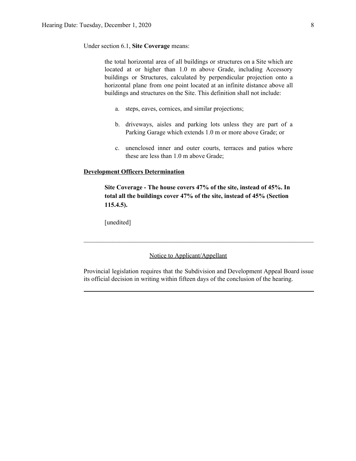Under section 6.1, **Site Coverage** means:

the total horizontal area of all buildings or structures on a Site which are located at or higher than 1.0 m above Grade, including Accessory buildings or Structures, calculated by perpendicular projection onto a horizontal plane from one point located at an infinite distance above all buildings and structures on the Site. This definition shall not include:

- a. steps, eaves, cornices, and similar projections;
- b. driveways, aisles and parking lots unless they are part of a Parking Garage which extends 1.0 m or more above Grade; or
- c. unenclosed inner and outer courts, terraces and patios where these are less than 1.0 m above Grade;

#### **Development Officers Determination**

**Site Coverage - The house covers 47% of the site, instead of 45%. In total all the buildings cover 47% of the site, instead of 45% (Section 115.4.5).**

[unedited]

#### Notice to Applicant/Appellant

Provincial legislation requires that the Subdivision and Development Appeal Board issue its official decision in writing within fifteen days of the conclusion of the hearing.

 $\mathcal{L}_\text{max} = \frac{1}{2} \sum_{i=1}^n \mathcal{L}_\text{max} = \frac{1}{2} \sum_{i=1}^n \mathcal{L}_\text{max} = \frac{1}{2} \sum_{i=1}^n \mathcal{L}_\text{max} = \frac{1}{2} \sum_{i=1}^n \mathcal{L}_\text{max} = \frac{1}{2} \sum_{i=1}^n \mathcal{L}_\text{max} = \frac{1}{2} \sum_{i=1}^n \mathcal{L}_\text{max} = \frac{1}{2} \sum_{i=1}^n \mathcal{L}_\text{max} = \frac{1}{2} \sum_{i=$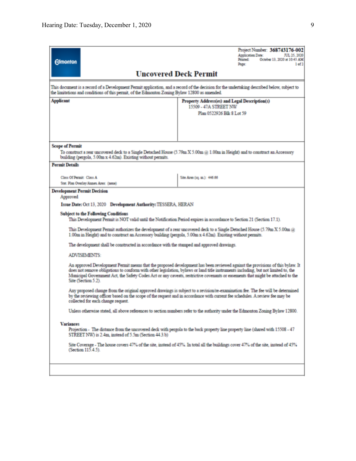| <b>Uncovered Deck Permit</b>                                                                                                                                                                                                                                                                                                                                                                                                                                                                                                                                                                                                                                                                                                                                                                                                                                                                                                                                                                                                                                                                                                                                                                                                                                                                                                                                                                                                                                                                                                                                                                                                                                                                                                                                                                                                                                                                                    |
|-----------------------------------------------------------------------------------------------------------------------------------------------------------------------------------------------------------------------------------------------------------------------------------------------------------------------------------------------------------------------------------------------------------------------------------------------------------------------------------------------------------------------------------------------------------------------------------------------------------------------------------------------------------------------------------------------------------------------------------------------------------------------------------------------------------------------------------------------------------------------------------------------------------------------------------------------------------------------------------------------------------------------------------------------------------------------------------------------------------------------------------------------------------------------------------------------------------------------------------------------------------------------------------------------------------------------------------------------------------------------------------------------------------------------------------------------------------------------------------------------------------------------------------------------------------------------------------------------------------------------------------------------------------------------------------------------------------------------------------------------------------------------------------------------------------------------------------------------------------------------------------------------------------------|
|                                                                                                                                                                                                                                                                                                                                                                                                                                                                                                                                                                                                                                                                                                                                                                                                                                                                                                                                                                                                                                                                                                                                                                                                                                                                                                                                                                                                                                                                                                                                                                                                                                                                                                                                                                                                                                                                                                                 |
| This document is a record of a Development Permit application, and a record of the decision for the undertaking described below, subject to<br>the limitations and conditions of this permit, of the Edmonton Zoning Bylaw 12800 as amended.                                                                                                                                                                                                                                                                                                                                                                                                                                                                                                                                                                                                                                                                                                                                                                                                                                                                                                                                                                                                                                                                                                                                                                                                                                                                                                                                                                                                                                                                                                                                                                                                                                                                    |
| <b>Applicant</b><br>Property Address(es) and Legal Description(s)<br>15509 - 47A STREET NW<br>Plan 0522926 Blk 8 Lot 59                                                                                                                                                                                                                                                                                                                                                                                                                                                                                                                                                                                                                                                                                                                                                                                                                                                                                                                                                                                                                                                                                                                                                                                                                                                                                                                                                                                                                                                                                                                                                                                                                                                                                                                                                                                         |
| <b>Scope of Permit</b><br>To construct a rear uncovered deck to a Single Detached House (5.79m X 5.00m @ 1.00m in Height) and to construct an Accessory<br>building (pergola, 5.00m x 4.62m). Existing without permits.                                                                                                                                                                                                                                                                                                                                                                                                                                                                                                                                                                                                                                                                                                                                                                                                                                                                                                                                                                                                                                                                                                                                                                                                                                                                                                                                                                                                                                                                                                                                                                                                                                                                                         |
| <b>Permit Details</b><br>Class Of Permit: Class A<br>Site Area (1q. m.): 446.66<br>Stat. Plan Overlay/Annex Area: (none)                                                                                                                                                                                                                                                                                                                                                                                                                                                                                                                                                                                                                                                                                                                                                                                                                                                                                                                                                                                                                                                                                                                                                                                                                                                                                                                                                                                                                                                                                                                                                                                                                                                                                                                                                                                        |
| <b>Development Permit Decision</b><br>Approved<br>Issue Date: Oct 13, 2020 Development Authority: TESSERA, HERAN<br><b>Subject to the Following Conditions</b><br>This Development Permit is NOT valid until the Notification Period expires in accordance to Section 21 (Section 17.1).<br>This Development Permit authorizes the development of a rear uncovered deck to a Single Detached House (5.79m X 5.00m $@$<br>1.00m in Height) and to construct an Accessory building (pergola, 5.00m x 4.62m). Existing without permits.<br>The development shall be constructed in accordance with the stamped and approved drawings.<br><b>ADVISEMENTS:</b><br>An approved Development Permit means that the proposed development has been reviewed against the provisions of this bylaw. It<br>does not remove obligations to conform with other legislation, bylaws or land title instruments including, but not limited to, the<br>Municipal Government Act, the Safety Codes Act or any caveats, restrictive covenants or easements that might be attached to the<br>Site (Section 5.2).<br>Any proposed change from the original approved drawings is subject to a revision/re-examination fee. The fee will be determined<br>by the reviewing officer based on the scope of the request and in accordance with current fee schedules. A review fee may be<br>collected for each change request.<br>Unless otherwise stated, all above references to section numbers refer to the authority under the Edmonton Zoning Bylaw 12800.<br><b>Variances</b><br>Projection - The distance from the uncovered deck with pergola to the back property line property line (shared with 15508 - 47<br>STREET NW) is 2.4m, instead of 5.5m (Section 44.3.b)<br>Site Coverage - The house covers 47% of the site, instead of 45%. In total all the buildings cover 47% of the site, instead of 45%<br>(Section 115.4.5). |
|                                                                                                                                                                                                                                                                                                                                                                                                                                                                                                                                                                                                                                                                                                                                                                                                                                                                                                                                                                                                                                                                                                                                                                                                                                                                                                                                                                                                                                                                                                                                                                                                                                                                                                                                                                                                                                                                                                                 |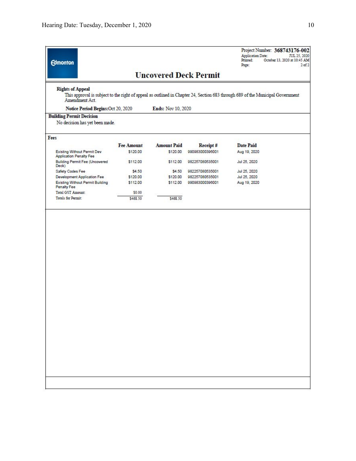| <b>Edmonton</b>                                                      |                   |                    |                              | Project Number: 368743176-002<br>Application Date:<br>JUL 25, 2020<br>Printed:<br>October 13, 2020 at 10:45 AM<br>Page:<br>$2$ of $2$ |
|----------------------------------------------------------------------|-------------------|--------------------|------------------------------|---------------------------------------------------------------------------------------------------------------------------------------|
|                                                                      |                   |                    | <b>Uncovered Deck Permit</b> |                                                                                                                                       |
| <b>Rights of Appeal</b><br>Amendment Act.                            |                   |                    |                              | This approval is subject to the right of appeal as outlined in Chapter 24, Section 683 through 689 of the Municipal Government        |
| Notice Period Begins: Oct 20, 2020                                   |                   | Ends: Nov 10, 2020 |                              |                                                                                                                                       |
| <b>Building Permit Decision</b>                                      |                   |                    |                              |                                                                                                                                       |
| No decision has yet been made.                                       |                   |                    |                              |                                                                                                                                       |
| Fees                                                                 |                   |                    |                              |                                                                                                                                       |
|                                                                      | <b>Fee Amount</b> | <b>Amount Paid</b> | Receipt#                     | <b>Date Paid</b>                                                                                                                      |
| <b>Existing Without Permit Dev</b><br><b>Application Penalty Fee</b> | \$120.00          | \$120.00           | 990983000396001              | Aug 19, 2020                                                                                                                          |
| <b>Building Permit Fee (Uncovered</b><br>Deck)                       | \$112.00          | \$112.00           | 982257080535001              | Jul 25, 2020                                                                                                                          |
| Safety Codes Fee                                                     | \$4.50            | \$4.50             | 982257080535001              | Jul 25, 2020                                                                                                                          |
| Development Application Fee                                          | \$120.00          | \$120.00           | 982257080535001              | Jul 25, 2020                                                                                                                          |
| <b>Existing Without Permit Building</b><br>Penalty Fee               | \$112.00          | \$112.00           | 990983000396001              | Aug 19, 2020                                                                                                                          |
| Total GST Amount:                                                    | \$0.00            |                    |                              |                                                                                                                                       |
| <b>Totals for Permit:</b>                                            | \$468.50          | \$468.50           |                              |                                                                                                                                       |
|                                                                      |                   |                    |                              |                                                                                                                                       |
|                                                                      |                   |                    |                              |                                                                                                                                       |
|                                                                      |                   |                    |                              |                                                                                                                                       |
|                                                                      |                   |                    |                              |                                                                                                                                       |
|                                                                      |                   |                    |                              |                                                                                                                                       |
|                                                                      |                   |                    |                              |                                                                                                                                       |
|                                                                      |                   |                    |                              |                                                                                                                                       |
|                                                                      |                   |                    |                              |                                                                                                                                       |
|                                                                      |                   |                    |                              |                                                                                                                                       |
|                                                                      |                   |                    |                              |                                                                                                                                       |
|                                                                      |                   |                    |                              |                                                                                                                                       |
|                                                                      |                   |                    |                              |                                                                                                                                       |
|                                                                      |                   |                    |                              |                                                                                                                                       |